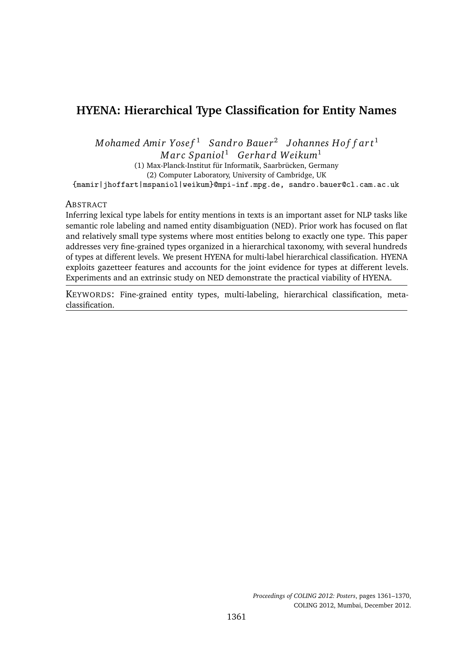# **HYENA: Hierarchical Type Classification for Entity Names**

*M* ohamed Amir Yose f<sup>1</sup> Sandro Bauer<sup>2</sup> Johannes Hoff art<sup>1</sup> *M ar c Spaniol*<sup>1</sup> *Gerhard Weikum*<sup>1</sup>

(1) Max-Planck-Institut für Informatik, Saarbrücken, Germany (2) Computer Laboratory, University of Cambridge, UK

{mamir|jhoffart|mspaniol|weikum}@mpi-inf.mpg.de, sandro.bauer@cl.cam.ac.uk

#### **ABSTRACT**

Inferring lexical type labels for entity mentions in texts is an important asset for NLP tasks like semantic role labeling and named entity disambiguation (NED). Prior work has focused on flat and relatively small type systems where most entities belong to exactly one type. This paper addresses very fine-grained types organized in a hierarchical taxonomy, with several hundreds of types at different levels. We present HYENA for multi-label hierarchical classification. HYENA exploits gazetteer features and accounts for the joint evidence for types at different levels. Experiments and an extrinsic study on NED demonstrate the practical viability of HYENA.

KEYWORDS: Fine-grained entity types, multi-labeling, hierarchical classification, metaclassification.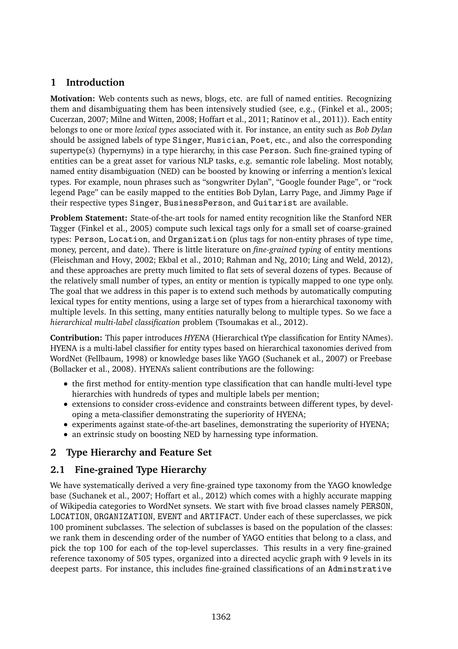# **1 Introduction**

**Motivation:** Web contents such as news, blogs, etc. are full of named entities. Recognizing them and disambiguating them has been intensively studied (see, e.g., (Finkel et al., 2005; Cucerzan, 2007; Milne and Witten, 2008; Hoffart et al., 2011; Ratinov et al., 2011)). Each entity belongs to one or more *lexical types* associated with it. For instance, an entity such as Bob Dylan should be assigned labels of type Singer, Musician, Poet, etc., and also the corresponding supertype(s) (hypernyms) in a type hierarchy, in this case Person. Such fine-grained typing of entities can be a great asset for various NLP tasks, e.g. semantic role labeling. Most notably, named entity disambiguation (NED) can be boosted by knowing or inferring a mention's lexical types. For example, noun phrases such as "songwriter Dylan", "Google founder Page", or "rock legend Page" can be easily mapped to the entities Bob Dylan, Larry Page, and Jimmy Page if their respective types Singer, BusinessPerson, and Guitarist are available.

**Problem Statement:** State-of-the-art tools for named entity recognition like the Stanford NER Tagger (Finkel et al., 2005) compute such lexical tags only for a small set of coarse-grained types: Person, Location, and Organization (plus tags for non-entity phrases of type time, money, percent, and date). There is little literature on *fine-grained typing* of entity mentions (Fleischman and Hovy, 2002; Ekbal et al., 2010; Rahman and Ng, 2010; Ling and Weld, 2012), and these approaches are pretty much limited to flat sets of several dozens of types. Because of the relatively small number of types, an entity or mention is typically mapped to one type only. The goal that we address in this paper is to extend such methods by automatically computing lexical types for entity mentions, using a large set of types from a hierarchical taxonomy with multiple levels. In this setting, many entities naturally belong to multiple types. So we face a *hierarchical multi-label classification* problem (Tsoumakas et al., 2012).

**Contribution:** This paper introduces *HYENA* (Hierarchical tYpe classification for Entity NAmes). HYENA is a multi-label classifier for entity types based on hierarchical taxonomies derived from WordNet (Fellbaum, 1998) or knowledge bases like YAGO (Suchanek et al., 2007) or Freebase (Bollacker et al., 2008). HYENA's salient contributions are the following:

- the first method for entity-mention type classification that can handle multi-level type hierarchies with hundreds of types and multiple labels per mention;
- extensions to consider cross-evidence and constraints between different types, by developing a meta-classifier demonstrating the superiority of HYENA;
- experiments against state-of-the-art baselines, demonstrating the superiority of HYENA;
- an extrinsic study on boosting NED by harnessing type information.

# **2 Type Hierarchy and Feature Set**

# **2.1 Fine-grained Type Hierarchy**

We have systematically derived a very fine-grained type taxonomy from the YAGO knowledge base (Suchanek et al., 2007; Hoffart et al., 2012) which comes with a highly accurate mapping of Wikipedia categories to WordNet synsets. We start with five broad classes namely PERSON, LOCATION, ORGANIZATION, EVENT and ARTIFACT. Under each of these superclasses, we pick 100 prominent subclasses. The selection of subclasses is based on the population of the classes: we rank them in descending order of the number of YAGO entities that belong to a class, and pick the top 100 for each of the top-level superclasses. This results in a very fine-grained reference taxonomy of 505 types, organized into a directed acyclic graph with 9 levels in its deepest parts. For instance, this includes fine-grained classifications of an Adminstrative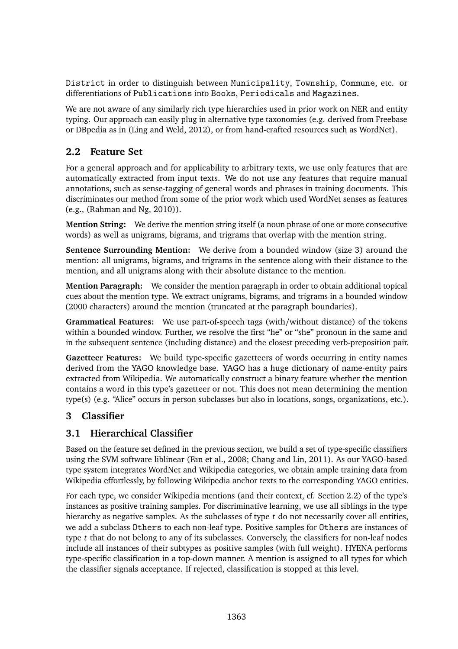District in order to distinguish between Municipality, Township, Commune, etc. or differentiations of Publications into Books, Periodicals and Magazines.

We are not aware of any similarly rich type hierarchies used in prior work on NER and entity typing. Our approach can easily plug in alternative type taxonomies (e.g. derived from Freebase or DBpedia as in (Ling and Weld, 2012), or from hand-crafted resources such as WordNet).

# **2.2 Feature Set**

For a general approach and for applicability to arbitrary texts, we use only features that are automatically extracted from input texts. We do not use any features that require manual annotations, such as sense-tagging of general words and phrases in training documents. This discriminates our method from some of the prior work which used WordNet senses as features (e.g., (Rahman and Ng, 2010)).

**Mention String:** We derive the mention string itself (a noun phrase of one or more consecutive words) as well as unigrams, bigrams, and trigrams that overlap with the mention string.

**Sentence Surrounding Mention:** We derive from a bounded window (size 3) around the mention: all unigrams, bigrams, and trigrams in the sentence along with their distance to the mention, and all unigrams along with their absolute distance to the mention.

**Mention Paragraph:** We consider the mention paragraph in order to obtain additional topical cues about the mention type. We extract unigrams, bigrams, and trigrams in a bounded window (2000 characters) around the mention (truncated at the paragraph boundaries).

**Grammatical Features:** We use part-of-speech tags (with/without distance) of the tokens within a bounded window. Further, we resolve the first "he" or "she" pronoun in the same and in the subsequent sentence (including distance) and the closest preceding verb-preposition pair.

**Gazetteer Features:** We build type-specific gazetteers of words occurring in entity names derived from the YAGO knowledge base. YAGO has a huge dictionary of name-entity pairs extracted from Wikipedia. We automatically construct a binary feature whether the mention contains a word in this type's gazetteer or not. This does not mean determining the mention type(s) (e.g. "Alice" occurs in person subclasses but also in locations, songs, organizations, etc.).

# **3 Classifier**

# **3.1 Hierarchical Classifier**

Based on the feature set defined in the previous section, we build a set of type-specific classifiers using the SVM software liblinear (Fan et al., 2008; Chang and Lin, 2011). As our YAGO-based type system integrates WordNet and Wikipedia categories, we obtain ample training data from Wikipedia effortlessly, by following Wikipedia anchor texts to the corresponding YAGO entities.

For each type, we consider Wikipedia mentions (and their context, cf. Section 2.2) of the type's instances as positive training samples. For discriminative learning, we use all siblings in the type hierarchy as negative samples. As the subclasses of type *t* do not necessarily cover all entities, we add a subclass Others to each non-leaf type. Positive samples for Others are instances of type *t* that do not belong to any of its subclasses. Conversely, the classifiers for non-leaf nodes include all instances of their subtypes as positive samples (with full weight). HYENA performs type-specific classification in a top-down manner. A mention is assigned to all types for which the classifier signals acceptance. If rejected, classification is stopped at this level.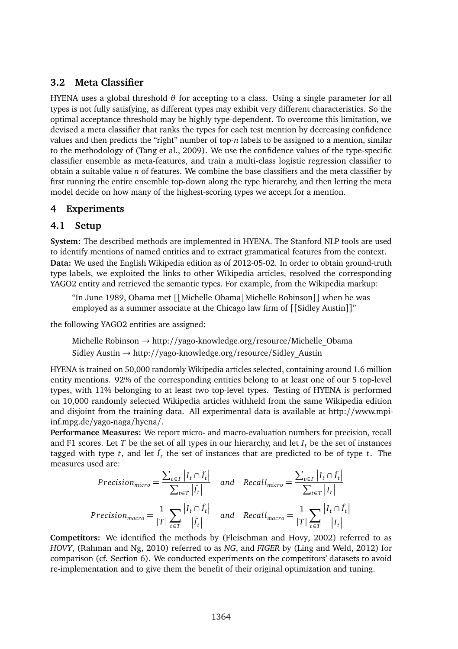# **3.2 Meta Classifier**

HYENA uses a global threshold *θ* for accepting to a class. Using a single parameter for all types is not fully satisfying, as different types may exhibit very different characteristics. So the optimal acceptance threshold may be highly type-dependent. To overcome this limitation, we devised a meta classifier that ranks the types for each test mention by decreasing confidence values and then predicts the "right" number of top-*n* labels to be assigned to a mention, similar to the methodology of (Tang et al., 2009). We use the confidence values of the type-specific classifier ensemble as meta-features, and train a multi-class logistic regression classifier to obtain a suitable value *n* of features. We combine the base classifiers and the meta classifier by first running the entire ensemble top-down along the type hierarchy, and then letting the meta model decide on how many of the highest-scoring types we accept for a mention.

# **4 Experiments**

### **4.1 Setup**

**System:** The described methods are implemented in HYENA. The Stanford NLP tools are used to identify mentions of named entities and to extract grammatical features from the context. **Data:** We used the English Wikipedia edition as of 2012-05-02. In order to obtain ground-truth type labels, we exploited the links to other Wikipedia articles, resolved the corresponding YAGO2 entity and retrieved the semantic types. For example, from the Wikipedia markup:

"In June 1989, Obama met [[Michelle Obama|Michelle Robinson]] when he was employed as a summer associate at the Chicago law firm of [[Sidley Austin]]"

the following YAGO2 entities are assigned:

Michelle Robinson → http://yago-knowledge.org/resource/Michelle\_Obama Sidley Austin → http://yago-knowledge.org/resource/Sidley\_Austin

HYENA is trained on 50,000 randomly Wikipedia articles selected, containing around 1.6 million entity mentions. 92% of the corresponding entities belong to at least one of our 5 top-level types, with 11% belonging to at least two top-level types. Testing of HYENA is performed on 10,000 randomly selected Wikipedia articles withheld from the same Wikipedia edition and disjoint from the training data. All experimental data is available at http://www.mpiinf.mpg.de/yago-naga/hyena/.

**Performance Measures:** We report micro- and macro-evaluation numbers for precision, recall and F1 scores. Let  $T$  be the set of all types in our hierarchy, and let  $I_t$ , be the set of instances tagged with type  $t$ , and let  $\hat{I}_t$  the set of instances that are predicted to be of type  $t$ . The measures used are:

$$
Precision_{micro} = \frac{\sum_{t \in T} |I_t \cap \hat{I}_t|}{\sum_{t \in T} |I_t|} \quad and \quad Recall_{micro} = \frac{\sum_{t \in T} |I_t \cap \hat{I}_t|}{\sum_{t \in T} |I_t|}
$$
\n
$$
Precision_{macro} = \frac{1}{|T|} \sum_{t \in T} \frac{|I_t \cap \hat{I}_t|}{|\hat{I}_t|} \quad and \quad Recall_{macro} = \frac{1}{|T|} \sum_{t \in T} \frac{|I_t \cap \hat{I}_t|}{|I_t|}
$$

**Competitors:** We identified the methods by (Fleischman and Hovy, 2002) referred to as *HOVY*, (Rahman and Ng, 2010) referred to as *NG*, and *FIGER* by (Ling and Weld, 2012) for comparison (cf. Section 6). We conducted experiments on the competitors' datasets to avoid re-implementation and to give them the benefit of their original optimization and tuning.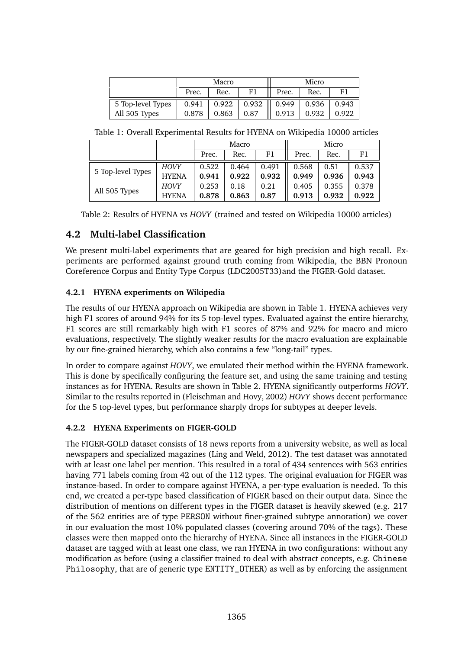|                                     | Macro |       |                          |       | Micro |       |
|-------------------------------------|-------|-------|--------------------------|-------|-------|-------|
|                                     | Prec. | Rec.  | F1                       | Prec. | Rec.  | F1    |
| 5 Top-level Types $\parallel$ 0.941 |       |       | $0.922$   0.932    0.949 |       | 0.936 | 0.943 |
| All 505 Types                       | 0.878 | 0.863 | 0.87                     | 0.913 | 0.932 | 0.922 |

Table 1: Overall Experimental Results for HYENA on Wikipedia 10000 articles

|                   |              | Macro |       |       |       | Micro |       |
|-------------------|--------------|-------|-------|-------|-------|-------|-------|
|                   |              | Prec. | Rec.  | F1    | Prec. | Rec.  | F1    |
| 5 Top-level Types | <b>HOVY</b>  | 0.522 | 0.464 | 0.491 | 0.568 | 0.51  | 0.537 |
|                   | <b>HYENA</b> | 0.941 | 0.922 | 0.932 | 0.949 | 0.936 | 0.943 |
| All 505 Types     | <b>HOVY</b>  | 0.253 | 0.18  | 0.21  | 0.405 | 0.355 | 0.378 |
|                   | <b>HYENA</b> | 0.878 | 0.863 | 0.87  | 0.913 | 0.932 | 0.922 |

Table 2: Results of HYENA vs *HOVY* (trained and tested on Wikipedia 10000 articles)

# **4.2 Multi-label Classification**

We present multi-label experiments that are geared for high precision and high recall. Experiments are performed against ground truth coming from Wikipedia, the BBN Pronoun Coreference Corpus and Entity Type Corpus (LDC2005T33)and the FIGER-Gold dataset.

### **4.2.1 HYENA experiments on Wikipedia**

The results of our HYENA approach on Wikipedia are shown in Table 1. HYENA achieves very high F1 scores of around 94% for its 5 top-level types. Evaluated against the entire hierarchy, F1 scores are still remarkably high with F1 scores of 87% and 92% for macro and micro evaluations, respectively. The slightly weaker results for the macro evaluation are explainable by our fine-grained hierarchy, which also contains a few "long-tail" types.

In order to compare against *HOVY*, we emulated their method within the HYENA framework. This is done by specifically configuring the feature set, and using the same training and testing instances as for HYENA. Results are shown in Table 2. HYENA significantly outperforms *HOVY*. Similar to the results reported in (Fleischman and Hovy, 2002) *HOVY* shows decent performance for the 5 top-level types, but performance sharply drops for subtypes at deeper levels.

#### **4.2.2 HYENA Experiments on FIGER-GOLD**

The FIGER-GOLD dataset consists of 18 news reports from a university website, as well as local newspapers and specialized magazines (Ling and Weld, 2012). The test dataset was annotated with at least one label per mention. This resulted in a total of 434 sentences with 563 entities having 771 labels coming from 42 out of the 112 types. The original evaluation for FIGER was instance-based. In order to compare against HYENA, a per-type evaluation is needed. To this end, we created a per-type based classification of FIGER based on their output data. Since the distribution of mentions on different types in the FIGER dataset is heavily skewed (e.g. 217 of the 562 entities are of type PERSON without finer-grained subtype annotation) we cover in our evaluation the most 10% populated classes (covering around 70% of the tags). These classes were then mapped onto the hierarchy of HYENA. Since all instances in the FIGER-GOLD dataset are tagged with at least one class, we ran HYENA in two configurations: without any modification as before (using a classifier trained to deal with abstract concepts, e.g. Chinese Philosophy, that are of generic type ENTITY\_OTHER) as well as by enforcing the assignment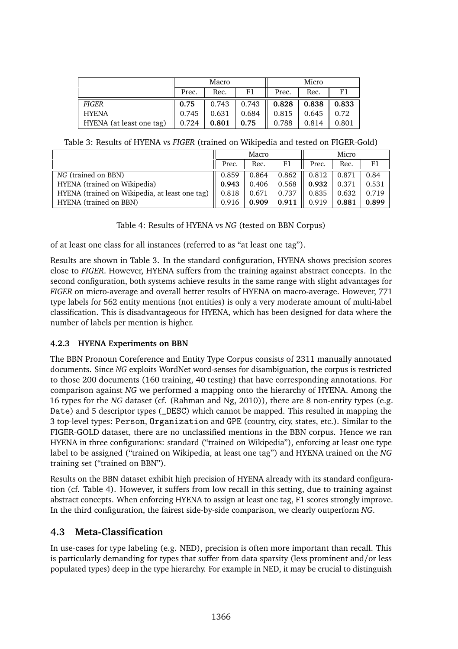|                          | Macro |       |               | Micro |       |       |
|--------------------------|-------|-------|---------------|-------|-------|-------|
|                          | Prec. | Rec.  | F1            | Prec. | Rec.  | F1    |
| <b>FIGER</b>             | 0.75  | 0.743 | 0.743<br>- 11 | 0.828 | 0.838 | 0.833 |
| <b>HYENA</b>             | 0.745 | 0.631 | 0.684         | 0.815 | 0.645 | 0.72  |
| HYENA (at least one tag) | 0.724 | 0.801 | 0.75          | 0.788 | 0.814 | 0.801 |

Table 3: Results of HYENA vs *FIGER* (trained on Wikipedia and tested on FIGER-Gold)

|                                                | Macro |       |       |       |       |       |
|------------------------------------------------|-------|-------|-------|-------|-------|-------|
|                                                | Prec. | Rec.  | F1    | Prec. | Rec.  | F1    |
| NG (trained on BBN)                            | 0.859 | 0.864 | 0.862 | 0.812 | 0.871 | 0.84  |
| HYENA (trained on Wikipedia)                   | 0.943 | 0.406 | 0.568 | 0.932 | 0.371 | 0.531 |
| HYENA (trained on Wikipedia, at least one tag) | 0.818 | 0.671 | 0.737 | 0.835 | 0.632 | 0.719 |
| HYENA (trained on BBN)                         | 0.916 | 0.909 | 0.911 | 0.919 | 0.881 | 0.899 |

Table 4: Results of HYENA vs *NG* (tested on BBN Corpus)

of at least one class for all instances (referred to as "at least one tag").

Results are shown in Table 3. In the standard configuration, HYENA shows precision scores close to *FIGER*. However, HYENA suffers from the training against abstract concepts. In the second configuration, both systems achieve results in the same range with slight advantages for *FIGER* on micro-average and overall better results of HYENA on macro-average. However, 771 type labels for 562 entity mentions (not entities) is only a very moderate amount of multi-label classification. This is disadvantageous for HYENA, which has been designed for data where the number of labels per mention is higher.

#### **4.2.3 HYENA Experiments on BBN**

The BBN Pronoun Coreference and Entity Type Corpus consists of 2311 manually annotated documents. Since *NG* exploits WordNet word-senses for disambiguation, the corpus is restricted to those 200 documents (160 training, 40 testing) that have corresponding annotations. For comparison against *NG* we performed a mapping onto the hierarchy of HYENA. Among the 16 types for the *NG* dataset (cf. (Rahman and Ng, 2010)), there are 8 non-entity types (e.g. Date) and 5 descriptor types (\_DESC) which cannot be mapped. This resulted in mapping the 3 top-level types: Person, Organization and GPE (country, city, states, etc.). Similar to the FIGER-GOLD dataset, there are no unclassified mentions in the BBN corpus. Hence we ran HYENA in three configurations: standard ("trained on Wikipedia"), enforcing at least one type label to be assigned ("trained on Wikipedia, at least one tag") and HYENA trained on the *NG* training set ("trained on BBN").

Results on the BBN dataset exhibit high precision of HYENA already with its standard configuration (cf. Table 4). However, it suffers from low recall in this setting, due to training against abstract concepts. When enforcing HYENA to assign at least one tag, F1 scores strongly improve. In the third configuration, the fairest side-by-side comparison, we clearly outperform *NG*.

# **4.3 Meta-Classification**

In use-cases for type labeling (e.g. NED), precision is often more important than recall. This is particularly demanding for types that suffer from data sparsity (less prominent and/or less populated types) deep in the type hierarchy. For example in NED, it may be crucial to distinguish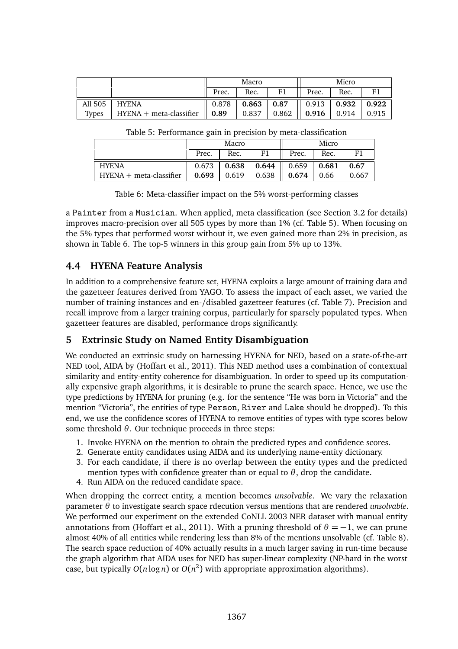|              |                                   | Macro |       |                      | Micro                             |       |       |
|--------------|-----------------------------------|-------|-------|----------------------|-----------------------------------|-------|-------|
|              |                                   | Prec. | Rec.  |                      | Prec.                             | Rec.  |       |
| All 505      | <b>HYENA</b>                      | 0.878 |       | $0.863 \;   \; 0.87$ | $\parallel$ 0.913   0.932   0.922 |       |       |
| <b>Types</b> | HYENA + meta-classifier $   0.89$ |       | 0.837 | 0.862                | $\parallel$ 0.916                 | 0.914 | 0.915 |

Table 5: Performance gain in precision by meta-classification

|                                                               | Macro |      |                                          | Micro |      |       |
|---------------------------------------------------------------|-------|------|------------------------------------------|-------|------|-------|
|                                                               | Prec. | Rec. | F1                                       | Prec. | Rec. | F1    |
| <b>HYENA</b>                                                  |       |      | $0.673$   0.638   0.644    0.659   0.681 |       |      | 0.67  |
| HYENA + meta-classifier $   0.693   0.619   0.638    0.674  $ |       |      |                                          |       | 0.66 | 0.667 |

Table 6: Meta-classifier impact on the 5% worst-performing classes

a Painter from a Musician. When applied, meta classification (see Section 3.2 for details) improves macro-precision over all 505 types by more than 1% (cf. Table 5). When focusing on the 5% types that performed worst without it, we even gained more than 2% in precision, as shown in Table 6. The top-5 winners in this group gain from 5% up to 13%.

# **4.4 HYENA Feature Analysis**

In addition to a comprehensive feature set, HYENA exploits a large amount of training data and the gazetteer features derived from YAGO. To assess the impact of each asset, we varied the number of training instances and en-/disabled gazetteer features (cf. Table 7). Precision and recall improve from a larger training corpus, particularly for sparsely populated types. When gazetteer features are disabled, performance drops significantly.

# **5 Extrinsic Study on Named Entity Disambiguation**

We conducted an extrinsic study on harnessing HYENA for NED, based on a state-of-the-art NED tool, AIDA by (Hoffart et al., 2011). This NED method uses a combination of contextual similarity and entity-entity coherence for disambiguation. In order to speed up its computationally expensive graph algorithms, it is desirable to prune the search space. Hence, we use the type predictions by HYENA for pruning (e.g. for the sentence "He was born in Victoria" and the mention "Victoria", the entities of type Person, River and Lake should be dropped). To this end, we use the confidence scores of HYENA to remove entities of types with type scores below some threshold *θ*. Our technique proceeds in three steps:

- 1. Invoke HYENA on the mention to obtain the predicted types and confidence scores.
- 2. Generate entity candidates using AIDA and its underlying name-entity dictionary.
- 3. For each candidate, if there is no overlap between the entity types and the predicted mention types with confidence greater than or equal to  $\theta$ , drop the candidate.
- 4. Run AIDA on the reduced candidate space.

When dropping the correct entity, a mention becomes *unsolvable*. We vary the relaxation parameter *θ* to investigate search space rdecution versus mentions that are rendered *unsolvable*. We performed our experiment on the extended CoNLL 2003 NER dataset with manual entity annotations from (Hoffart et al., 2011). With a pruning threshold of  $\theta = -1$ , we can prune almost 40% of all entities while rendering less than 8% of the mentions unsolvable (cf. Table 8). The search space reduction of 40% actually results in a much larger saving in run-time because the graph algorithm that AIDA uses for NED has super-linear complexity (NP-hard in the worst case, but typically  $O(n \log n)$  or  $O(n^2)$  with appropriate approximation algorithms).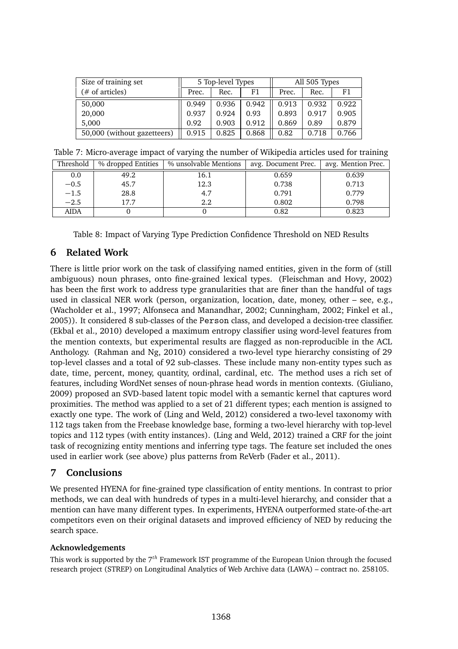| Size of training set        | 5 Top-level Types |       |       | All 505 Types |       |       |
|-----------------------------|-------------------|-------|-------|---------------|-------|-------|
| (# of articles)             | Prec.             | Rec.  | F1    | Prec.         | Rec.  | F1    |
| 50,000                      | 0.949             | 0.936 | 0.942 | 0.913         | 0.932 | 0.922 |
| 20,000                      | 0.937             | 0.924 | 0.93  | 0.893         | 0.917 | 0.905 |
| 5.000                       | 0.92              | 0.903 | 0.912 | 0.869         | 0.89  | 0.879 |
| 50,000 (without gazetteers) | 0.915             | 0.825 | 0.868 | 0.82          | 0.718 | 0.766 |

| Table 7: Micro-average impact of varying the number of Wikipedia articles used for training |  |  |  |  |
|---------------------------------------------------------------------------------------------|--|--|--|--|
|---------------------------------------------------------------------------------------------|--|--|--|--|

| Threshold | % dropped Entities | % unsolvable Mentions | avg. Document Prec. | avg. Mention Prec. |
|-----------|--------------------|-----------------------|---------------------|--------------------|
| 0.0       | 49.2               | 16.1                  | 0.659               | 0.639              |
| $-0.5$    | 45.7               | 12.3                  | 0.738               | 0.713              |
| $-1.5$    | 28.8               | 4.7                   | 0.791               | 0.779              |
| $-2.5$    | 17.7               | $2.2\,$               | 0.802               | 0.798              |
| AIDA      |                    |                       | 0.82                | 0.823              |

Table 8: Impact of Varying Type Prediction Confidence Threshold on NED Results

# **6 Related Work**

There is little prior work on the task of classifying named entities, given in the form of (still ambiguous) noun phrases, onto fine-grained lexical types. (Fleischman and Hovy, 2002) has been the first work to address type granularities that are finer than the handful of tags used in classical NER work (person, organization, location, date, money, other – see, e.g., (Wacholder et al., 1997; Alfonseca and Manandhar, 2002; Cunningham, 2002; Finkel et al., 2005)). It considered 8 sub-classes of the Person class, and developed a decision-tree classifier. (Ekbal et al., 2010) developed a maximum entropy classifier using word-level features from the mention contexts, but experimental results are flagged as non-reproducible in the ACL Anthology. (Rahman and Ng, 2010) considered a two-level type hierarchy consisting of 29 top-level classes and a total of 92 sub-classes. These include many non-entity types such as date, time, percent, money, quantity, ordinal, cardinal, etc. The method uses a rich set of features, including WordNet senses of noun-phrase head words in mention contexts. (Giuliano, 2009) proposed an SVD-based latent topic model with a semantic kernel that captures word proximities. The method was applied to a set of 21 different types; each mention is assigned to exactly one type. The work of (Ling and Weld, 2012) considered a two-level taxonomy with 112 tags taken from the Freebase knowledge base, forming a two-level hierarchy with top-level topics and 112 types (with entity instances). (Ling and Weld, 2012) trained a CRF for the joint task of recognizing entity mentions and inferring type tags. The feature set included the ones used in earlier work (see above) plus patterns from ReVerb (Fader et al., 2011).

# **7 Conclusions**

We presented HYENA for fine-grained type classification of entity mentions. In contrast to prior methods, we can deal with hundreds of types in a multi-level hierarchy, and consider that a mention can have many different types. In experiments, HYENA outperformed state-of-the-art competitors even on their original datasets and improved efficiency of NED by reducing the search space.

#### **Acknowledgements**

This work is supported by the 7*th* Framework IST programme of the European Union through the focused research project (STREP) on Longitudinal Analytics of Web Archive data (LAWA) – contract no. 258105.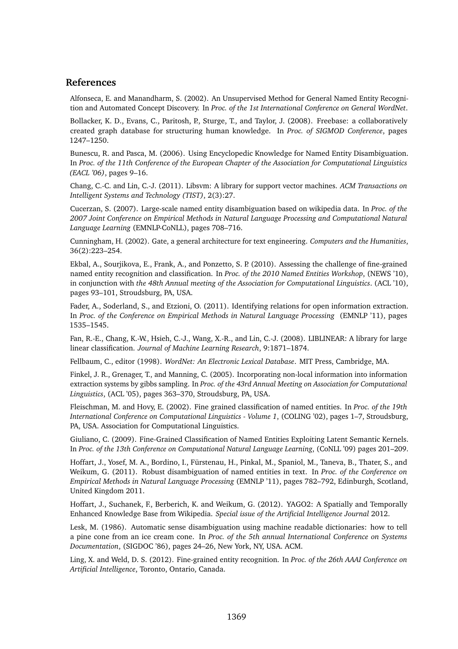#### **References**

Alfonseca, E. and Manandharm, S. (2002). An Unsupervised Method for General Named Entity Recognition and Automated Concept Discovery. In *Proc. of the 1st International Conference on General WordNet*.

Bollacker, K. D., Evans, C., Paritosh, P., Sturge, T., and Taylor, J. (2008). Freebase: a collaboratively created graph database for structuring human knowledge. In *Proc. of SIGMOD Conference*, pages 1247–1250.

Bunescu, R. and Pasca, M. (2006). Using Encyclopedic Knowledge for Named Entity Disambiguation. In *Proc. of the 11th Conference of the European Chapter of the Association for Computational Linguistics (EACL '06)*, pages 9–16.

Chang, C.-C. and Lin, C.-J. (2011). Libsvm: A library for support vector machines. *ACM Transactions on Intelligent Systems and Technology (TIST)*, 2(3):27.

Cucerzan, S. (2007). Large-scale named entity disambiguation based on wikipedia data. In *Proc. of the 2007 Joint Conference on Empirical Methods in Natural Language Processing and Computational Natural Language Learning* (EMNLP-CoNLL), pages 708–716.

Cunningham, H. (2002). Gate, a general architecture for text engineering. *Computers and the Humanities*, 36(2):223–254.

Ekbal, A., Sourjikova, E., Frank, A., and Ponzetto, S. P. (2010). Assessing the challenge of fine-grained named entity recognition and classification. In *Proc. of the 2010 Named Entities Workshop*, (NEWS '10), in conjunction with *the 48th Annual meeting of the Association for Computational Linguistics*. (ACL '10), pages 93–101, Stroudsburg, PA, USA.

Fader, A., Soderland, S., and Etzioni, O. (2011). Identifying relations for open information extraction. In *Proc. of the Conference on Empirical Methods in Natural Language Processing* (EMNLP '11), pages 1535–1545.

Fan, R.-E., Chang, K.-W., Hsieh, C.-J., Wang, X.-R., and Lin, C.-J. (2008). LIBLINEAR: A library for large linear classification. *Journal of Machine Learning Research*, 9:1871–1874.

Fellbaum, C., editor (1998). *WordNet: An Electronic Lexical Database*. MIT Press, Cambridge, MA.

Finkel, J. R., Grenager, T., and Manning, C. (2005). Incorporating non-local information into information extraction systems by gibbs sampling. In *Proc. of the 43rd Annual Meeting on Association for Computational Linguistics*, (ACL '05), pages 363–370, Stroudsburg, PA, USA.

Fleischman, M. and Hovy, E. (2002). Fine grained classification of named entities. In *Proc. of the 19th International Conference on Computational Linguistics - Volume 1*, (COLING '02), pages 1–7, Stroudsburg, PA, USA. Association for Computational Linguistics.

Giuliano, C. (2009). Fine-Grained Classification of Named Entities Exploiting Latent Semantic Kernels. In *Proc. of the 13th Conference on Computational Natural Language Learning*, (CoNLL '09) pages 201–209.

Hoffart, J., Yosef, M. A., Bordino, I., Fürstenau, H., Pinkal, M., Spaniol, M., Taneva, B., Thater, S., and Weikum, G. (2011). Robust disambiguation of named entities in text. In *Proc. of the Conference on Empirical Methods in Natural Language Processing* (EMNLP '11), pages 782–792, Edinburgh, Scotland, United Kingdom 2011.

Hoffart, J., Suchanek, F., Berberich, K. and Weikum, G. (2012). YAGO2: A Spatially and Temporally Enhanced Knowledge Base from Wikipedia. *Special issue of the Artificial Intelligence Journal* 2012.

Lesk, M. (1986). Automatic sense disambiguation using machine readable dictionaries: how to tell a pine cone from an ice cream cone. In *Proc. of the 5th annual International Conference on Systems Documentation*, (SIGDOC '86), pages 24–26, New York, NY, USA. ACM.

Ling, X. and Weld, D. S. (2012). Fine-grained entity recognition. In *Proc. of the 26th AAAI Conference on Artificial Intelligence*, Toronto, Ontario, Canada.